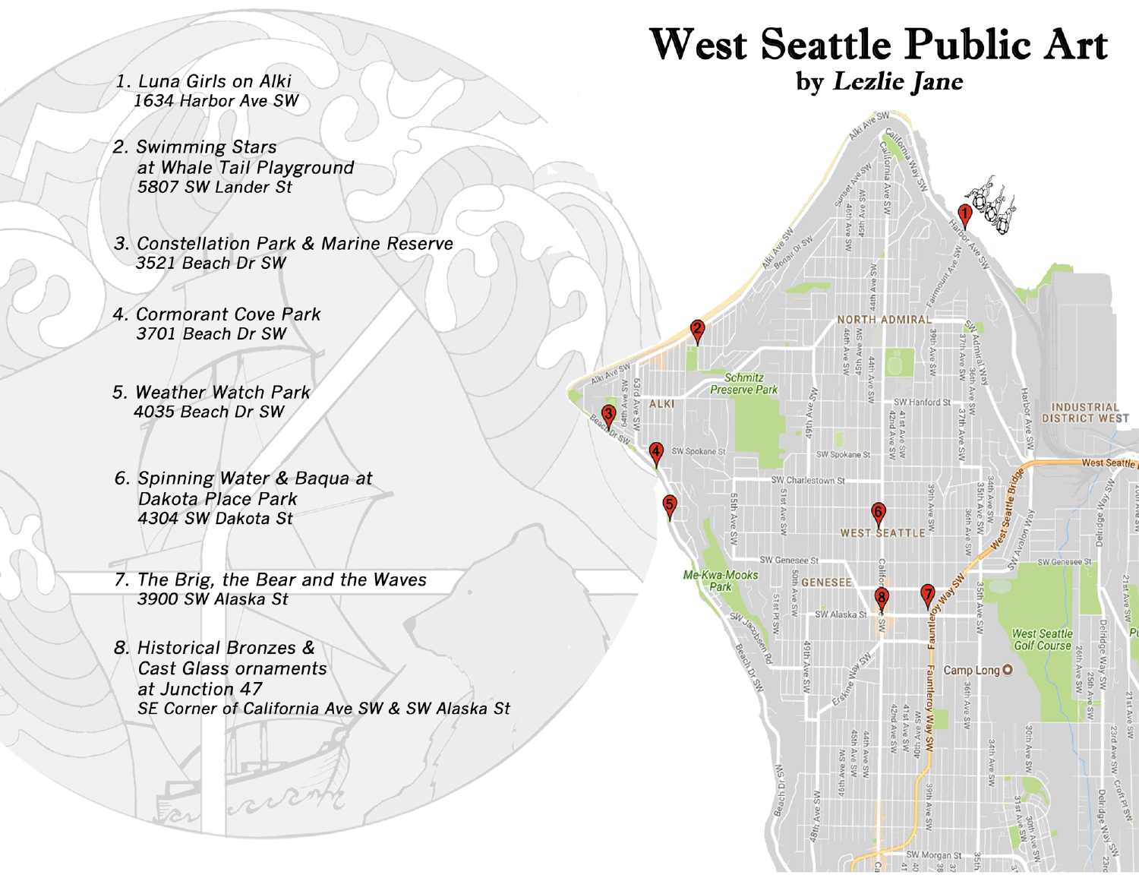1. Luna Girls on Alki 1634 Harbor Ave SW

# **West Seattle Public Art**

by Lezlie Jane